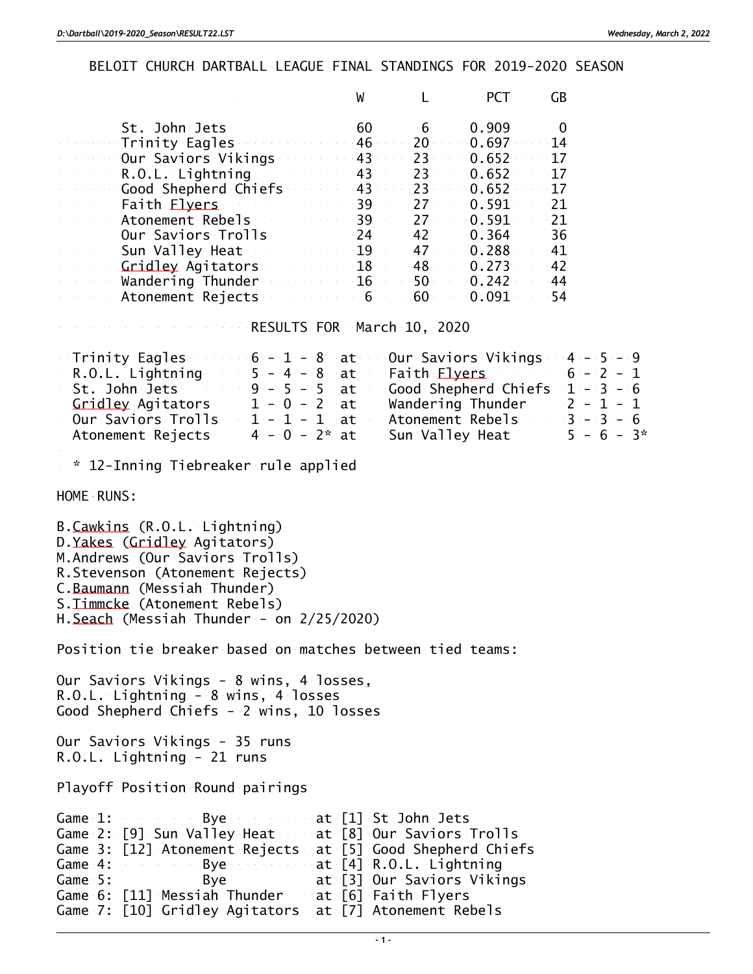BELOIT CHURCH DARTBALL LEAGUE FINAL STANDINGS FOR 2019-2020 SEASON

|                      |    |     | GВ          |
|----------------------|----|-----|-------------|
| St. John Jets        | 60 | 6   | 0.909       |
| Trinity Eagles       | 46 | 20  | 0.697<br>14 |
| Our Saviors Vikings  | 43 | 23  | 0.652<br>17 |
| R.O.L. Lightning     | 43 | 23. | 0.652<br>17 |
| Good Shepherd Chiefs | 43 | 23  | 0.652<br>17 |
| Faith <u>Elyers</u>  | 39 | 27  | 0.591<br>21 |
| Atonement Rebels     | 39 | 27  | 0.591<br>21 |
| Our Saviors Trolls   | 24 | 42  | 0.364<br>36 |
| Sun Valley Heat      | 19 | 47  | 0.288<br>41 |
| Gridley Agitators    | 18 | 48  | 0.273<br>42 |
| Wandering Thunder    | 16 | 50  | 0.242<br>44 |
| Atonement Rejects    |    | 60  | 0.091<br>54 |

RESULTS FOR March 10, 2020

| $6 - 1 - 8$ at Our Saviors Vikings $4 - 5 - 9$<br>Trinity Eagles               |               |  |  |
|--------------------------------------------------------------------------------|---------------|--|--|
| $-5 - 4 - 8$ at Faith Flyers 6 - 2 - 1<br>R.O.L. Lightning                     |               |  |  |
| $9 - 5 - 5$ at Good Shepherd Chiefs $1 - 3 - 6$<br>St. John Jets               |               |  |  |
| Gridley Agitators $1 - 0 - 2$ at Wandering Thunder $2 - 1 - 1$                 |               |  |  |
| - Our Saviors Trolls $1$ - $1$ - $1$ at $-$ Atonement Rebels $-$ 3 - 3 - 6 $-$ |               |  |  |
|                                                                                | $5 - 6 - 3^*$ |  |  |

\* 12-Inning Tiebreaker rule applied

HOME RUNS:

B.Cawkins (R.O.L. Lightning) D.Yakes (Gridley Agitators) M.Andrews (Our Saviors Trolls) R.Stevenson (Atonement Rejects) C.Baumann (Messiah Thunder) S.Timmcke (Atonement Rebels) H.Seach (Messiah Thunder - on 2/25/2020)

Position tie breaker based on matches between tied teams:

Our Saviors Vikings - 8 wins, 4 losses, R.O.L. Lightning - 8 wins, 4 losses Good Shepherd Chiefs - 2 wins, 10 losses

Our Saviors Vikings - 35 runs R.O.L. Lightning - 21 runs

Playoff Position Round pairings

|  |  |  | Game 1: Bye by at [1] St John Jets                         |
|--|--|--|------------------------------------------------------------|
|  |  |  | Game 2: [9] Sun Valley Heat at [8] Our Saviors Trolls      |
|  |  |  | Game 3: [12] Atonement Rejects at [5] Good Shepherd Chiefs |
|  |  |  | Game 4: Bye at [4] R.O.L. Lightning                        |
|  |  |  | Game 5: Bye Bye at [3] Our Saviors Vikings                 |
|  |  |  | Game 6: [11] Messiah Thunder at [6] Faith Flyers           |
|  |  |  | Game 7: [10] Gridley Agitators at [7] Atonement Rebels     |